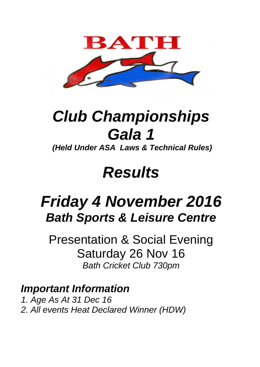

## **Club Championships Gala 1**

**(Held Under ASA Laws & Technical Rules)**

## **Results**

## **Friday 4 November 2016 Bath Sports & Leisure Centre**

Presentation & Social Evening Saturday 26 Nov 16 Bath Cricket Club 730pm

**Important Information** 1. Age As At 31 Dec 16 2. All events Heat Declared Winner (HDW)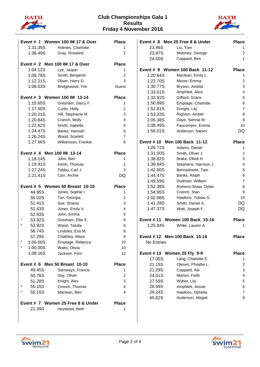



|                                                | Event # 1 Women 100 IM 17 & Over  | <b>Place</b>            |  |
|------------------------------------------------|-----------------------------------|-------------------------|--|
| 1:31.35S                                       | Holmes, Charlotte                 | 1                       |  |
| 1:36.49S                                       | Gray, Rosalind                    | $\overline{2}$          |  |
| Event # 2 Men 100 IM 17 & Over<br><b>Place</b> |                                   |                         |  |
| 1:04.12S                                       | Lye, Jasper                       | 1                       |  |
| 1:05.78S                                       | Smith, Benjamin                   | $\overline{\mathbf{c}}$ |  |
| 1:12.21S                                       | Oliver, Harry D.                  | 3                       |  |
| 1:08.53S                                       | Bridgewood, Tim                   | Guest                   |  |
| Event # 3 Women 100 IM 13-14<br><b>Place</b>   |                                   |                         |  |
| 1:15.65S                                       | Gresham, Darcy F.                 | 1                       |  |
| 1:17.50S                                       | Curtis, Holly                     | $\overline{\mathbf{c}}$ |  |
| 1:20.21S                                       | Hill, Stephanie M.                | 3                       |  |
| 1:20.84S                                       | Cranch, Molly                     | 4                       |  |
| 1:22.62S                                       | Smith, Isabella                   | 5                       |  |
| 1:24.47S                                       | Banks, Hannah                     | 6                       |  |
| 1:26.24S                                       | Wood, Scarlett                    | 7                       |  |
| 1:27.66S                                       | Williamson, Frankie               | 8                       |  |
| Event # 4 Men 100 IM 13-14                     |                                   | <b>Place</b>            |  |
| 1:18.14S                                       | John, Ben                         | 1                       |  |
| 1:19.91S                                       | Kelsh, Thomas                     | $\overline{\mathbf{c}}$ |  |
| 1:27.24S                                       | Tabbu, Carl J.                    | 3                       |  |
| 1:21.41S                                       | Carr, Archie                      | DQ                      |  |
|                                                |                                   |                         |  |
|                                                | Event # 5 Women 50 Breast 10-10   | <b>Place</b>            |  |
| 44.95S                                         | Jones, Sophie I.                  | 1                       |  |
| 50.02S                                         | Tan, Georgia                      | $\overline{\mathbf{c}}$ |  |
| 51.41S                                         | Sue, Shania                       | 3                       |  |
| 51.43S                                         | Jones, Emily V.                   | 4                       |  |
| 52.93S                                         | John, Emma                        | 5                       |  |
| 53.92S                                         | Gresham, Ellie E.                 | 6                       |  |
| *<br>53.92S                                    | Wood, Talulla                     | 6                       |  |
| 56.74S                                         | Lindsley, Eva M.                  | 8                       |  |
| 57.29S                                         | Chathley, Maya                    | 9                       |  |
| 1:00.00S                                       | Emptage, Rebecca                  | 10                      |  |
| 1:00.00S                                       | Watts, Olivia                     | 10                      |  |
| 1:08.16S                                       | Jackson, Fern                     | 12                      |  |
| Event # 6 Men 50 Breast 10-10                  |                                   | <b>Place</b>            |  |
| 49.45S                                         | Samways, Francis                  | 1                       |  |
| 50.76S                                         | Day, Oliver                       | 2                       |  |
| 51.28S                                         | Knight, Alex                      | 3                       |  |
| 55.15S                                         | Crouch, Thomas                    | 4                       |  |
| 55.15S                                         | Maclean, Ben                      | 4                       |  |
|                                                | Event # 7 Women 25 Free 8 & Under | <b>Place</b>            |  |
| 21.39S                                         | Heywood, Beth                     | 1                       |  |
|                                                |                                   |                         |  |

| 23.46S<br>Liu, Tom<br>23.87S<br>Moloney, George<br>24.50S<br>Coppard, Ben<br>Event # 9 Women 100 Back 11-12<br>Place<br>1:20.84S<br>Maclean, Emily L.<br>1:22.70S<br>Moore, Emma<br>1:30.77S<br>Bryson, Amelia<br>1:33.01S<br>Amphlett, Alice<br>1:33.92S<br>Gifford, Grace | 1<br>$\overline{c}$<br>1<br>1<br>2 |
|-----------------------------------------------------------------------------------------------------------------------------------------------------------------------------------------------------------------------------------------------------------------------------|------------------------------------|
|                                                                                                                                                                                                                                                                             |                                    |
|                                                                                                                                                                                                                                                                             |                                    |
|                                                                                                                                                                                                                                                                             |                                    |
|                                                                                                                                                                                                                                                                             |                                    |
|                                                                                                                                                                                                                                                                             |                                    |
|                                                                                                                                                                                                                                                                             |                                    |
|                                                                                                                                                                                                                                                                             |                                    |
|                                                                                                                                                                                                                                                                             | 3                                  |
|                                                                                                                                                                                                                                                                             | 4                                  |
|                                                                                                                                                                                                                                                                             | 5                                  |
| 1:50.89S<br>Emptage, Charlotte                                                                                                                                                                                                                                              | 6                                  |
| 1:52.81S<br>Enright, Lily                                                                                                                                                                                                                                                   | $\overline{7}$                     |
| 1:53.33S<br>Righton, Amber                                                                                                                                                                                                                                                  | 8                                  |
| 2:05.38S<br>Daye, Sienna M.                                                                                                                                                                                                                                                 | 9                                  |
| 2:08.49S<br>Faucompre, Emma                                                                                                                                                                                                                                                 | 10                                 |
| 1:58.01S<br>Anderson, Naomi                                                                                                                                                                                                                                                 | <b>DQ</b>                          |
|                                                                                                                                                                                                                                                                             |                                    |
| Event #10 Men 100 Back 11-12<br><b>Place</b>                                                                                                                                                                                                                                |                                    |
| Adams, Daniel<br>1:26.72S                                                                                                                                                                                                                                                   | 1                                  |
| 1:31.00S<br>Smith, Oliver J.                                                                                                                                                                                                                                                | 2                                  |
| Brake, Elliott H.<br>1:38.82S                                                                                                                                                                                                                                               | 3                                  |
| 1:39.84S<br>Stephens, Harrison J.                                                                                                                                                                                                                                           | 4                                  |
| 1:42.60S<br>Behradmehr, Tam                                                                                                                                                                                                                                                 | 5                                  |
| 1:44.47S<br>Banks, Ralph                                                                                                                                                                                                                                                    | 6                                  |
| 1:49.59S<br>Dudman, William                                                                                                                                                                                                                                                 | $\overline{7}$                     |
| 1:52.38S<br>Romero-Shaw, Dylan                                                                                                                                                                                                                                              | 8                                  |
| 1:54.95S<br>Cranch, Stan                                                                                                                                                                                                                                                    | 9                                  |
| 2:02.98S<br>Hawkins, Tobias G.                                                                                                                                                                                                                                              | 10                                 |
| 1:41.28S<br>Smith, Daniel A.                                                                                                                                                                                                                                                | DQ                                 |
| 1:47.37S<br>Watt, Joseph F.                                                                                                                                                                                                                                                 | DQ                                 |
| Event #11 Women 100 Back 15-16<br><b>Place</b>                                                                                                                                                                                                                              |                                    |
| 1:25.84S<br>White, Lauren A.                                                                                                                                                                                                                                                | 1                                  |
|                                                                                                                                                                                                                                                                             |                                    |
| Event #12 Men 100 Back 15-16<br><b>Place</b>                                                                                                                                                                                                                                |                                    |
| No Entries                                                                                                                                                                                                                                                                  |                                    |
| Event #13 Women 25 Fly 9-9<br><b>Place</b>                                                                                                                                                                                                                                  |                                    |
| 17.05S<br>Lang, Charlotte E.                                                                                                                                                                                                                                                | 1                                  |
|                                                                                                                                                                                                                                                                             | 2                                  |
| 21.15S<br>Olesen, Phoebe L.                                                                                                                                                                                                                                                 |                                    |
| 21.29S<br>Coppard, Abi                                                                                                                                                                                                                                                      | 3                                  |
| 24.01S<br>Marton, Faith                                                                                                                                                                                                                                                     | 4                                  |
| 27.59S<br>Wyber, Lily                                                                                                                                                                                                                                                       | 5                                  |
| 28.99S<br>Amphlett, Jessie                                                                                                                                                                                                                                                  | 6                                  |
| 29.24S<br>Hawkins, Ophelia<br>Anderson, Abigail                                                                                                                                                                                                                             | 7                                  |



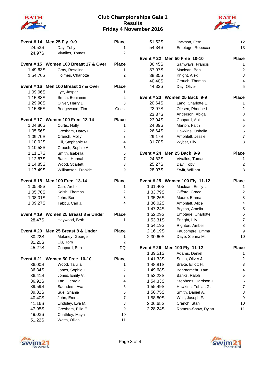



| Event #14 Men 25 Fly 9-9                           |                                     | <b>Place</b>   |
|----------------------------------------------------|-------------------------------------|----------------|
| 24.52S                                             | Day, Toby                           | 1              |
| 24.97S                                             | Vivallos, Tomas                     | 2              |
| Event #15 Women 100 Breast 17 & Over               |                                     |                |
| 1:49.63S                                           | Gray, Rosalind                      | 1              |
| 1:54.76S                                           | Holmes, Charlotte                   | $\overline{c}$ |
|                                                    | Event #16 Men 100 Breast 17 & Over  | <b>Place</b>   |
| 1:09.06S                                           | Lye, Jasper                         | 1              |
| 1:15.88S                                           | Smith, Benjamin                     | 2              |
| 1:29.90S                                           | Oliver, Harry D.                    | 3              |
| 1:15.85S                                           | Bridgewood, Tim                     | Guest          |
|                                                    | Event #17 Women 100 Free 13-14      | <b>Place</b>   |
| 1:04.86S                                           | Curtis, Holly                       | 1              |
| 1:05.56S                                           | Gresham, Darcy F.                   | 2              |
| 1:09.70S                                           | Cranch, Molly                       | 3              |
| 1:10.02S                                           | Hill, Stephanie M.                  | 4              |
| 1:10.58S                                           | Crouch, Sophie A.                   | 5              |
| 1:11.17S                                           | Smith, Isabella                     | 6              |
| 1:12.87S                                           | Banks, Hannah                       | 7              |
| 1:14.85S                                           | Wood, Scarlett                      | 8              |
| 1:17.49S                                           | Williamson, Frankie                 | 9              |
|                                                    |                                     |                |
| Event #18 Men 100 Free 13-14                       |                                     | <b>Place</b>   |
| 1:05.48S                                           | Carr, Archie                        | 1              |
| 1:05.70S                                           | Kelsh, Thomas                       | 2              |
| 1:08.01S                                           | John, Ben                           | 3              |
| 1:09.27S                                           | Tabbu, Carl J.                      | 4              |
|                                                    | Event #19 Women 25 Breast 8 & Under | <b>Place</b>   |
| 28.47S                                             | Heywood, Beth                       | 1              |
| Event # 20 Men 25 Breast 8 & Under<br><b>Place</b> |                                     |                |
| 30.22S                                             | Moloney, George                     | 1              |
| 31.20S                                             | Liu, Tom                            | 2              |
| 45.27S                                             | Coppard, Ben                        | DQ             |
| <b>Event # 21</b>                                  | <b>Women 50 Free 10-10</b>          | <b>Place</b>   |
| 36.00S                                             | Wood, Talulla                       | 1              |
| 36.34S                                             | Jones, Sophie I.                    | 2              |
| 36.41S                                             | Jones, Emily V.                     | 3              |
| 36.92S                                             | Tan, Georgia                        | 4              |
| 39.59S                                             | Saunders, Ava                       | 5              |
| 39.82S                                             | Sue, Shania                         | 6              |
| 40.40S                                             | John, Emma                          | $\overline{7}$ |
| 41.16S                                             | Lindsley, Eva M.                    | 8              |
| 47.95S                                             | Gresham, Ellie E.                   | 9              |
| 49.02S                                             | Chathley, Maya                      | 10             |
| 51.22S                                             | Watts, Olivia                       | 11             |

| 51.52S                                     | Jackson, Fern                      | 12             |
|--------------------------------------------|------------------------------------|----------------|
| 54.34S                                     | Emptage, Rebecca                   | 13             |
|                                            |                                    |                |
| Event # 22 Men 50 Free 10-10               |                                    | <b>Place</b>   |
| 36.45S                                     | Samways, Francis                   | 1              |
| 37.97S                                     | Maclean, Ben                       | $\overline{c}$ |
| 38.35S                                     | Knight, Alex                       | 3              |
| 40.40S                                     | Crouch, Thomas                     | 4              |
| 44.32S                                     | Day, Oliver                        | 5              |
| Event # 23 Women 25 Back 9-9               |                                    | <b>Place</b>   |
| 20.64S                                     | Lang, Charlotte E.                 | 1              |
| 22.97S                                     | Olesen, Phoebe L.                  | 2              |
| 23.37S                                     | Anderson, Abigail                  | 3              |
| 23.94S                                     | Coppard, Abi                       | 4              |
| 24.89S                                     | Marton, Faith                      | 5              |
| 26.64S                                     | Hawkins, Ophelia                   | 6              |
| 29.17S                                     | Amphlett, Jessie                   | 7              |
| 31.70S                                     | Wyber, Lily                        | 8              |
|                                            |                                    |                |
| Event # 24 Men 25 Back 9-9                 |                                    | <b>Place</b>   |
| 24.83S                                     | Vivallos, Tomas                    | 1              |
| 25.27S                                     | Day, Toby                          | 2              |
| 28.07S                                     | Swift, William                     | 3              |
|                                            |                                    | <b>Place</b>   |
|                                            |                                    |                |
| Event # 25 Women 100 Fly 11-12<br>1:31.40S | Maclean, Emily L.                  | 1              |
| 1:33.79S                                   | Gifford, Grace                     | 2              |
| 1:35.26S                                   | Moore, Emma                        | 3              |
| 1:36.02S                                   | Amphlett, Alice                    | 4              |
| 1:47.24S                                   | Bryson, Amelia                     | 5              |
| 1:52.29S                                   | Emptage, Charlotte                 | 6              |
| 1:53.31S                                   | Enright, Lily                      | $\overline{7}$ |
| 1:54.19S                                   | Righton, Amber                     | 8              |
| 2:16.19S                                   | Faucompre, Emma                    | 9              |
| 2:30.60S                                   | Daye, Sienna M.                    | 10             |
|                                            |                                    |                |
| Event # 26 Men 100 Fly 11-12               |                                    | <b>Place</b>   |
| 1:39.51S                                   | Adams, Daniel                      | 1              |
| 1:41.33S                                   | Smith, Oliver J.                   | 2              |
| 1:48.81S                                   | Brake, Elliott H.                  | 3              |
| 1:49.68S                                   | Behradmehr, Tam                    | 4              |
| 1:53.23S                                   | Banks, Ralph                       | 5              |
| 1:54.33S                                   | Stephens, Harrison J.              | 6              |
| 1:55.49S                                   | Hawkins, Tobias G.                 | 7              |
| 1:56.75S                                   | Smith, Daniel A.                   | 8              |
| 1:58.80S                                   | Watt, Joseph F.                    | 9              |
| 2:06.65S<br>2:28.24S                       | Cranch, Stan<br>Romero-Shaw, Dylan | 10<br>11       |